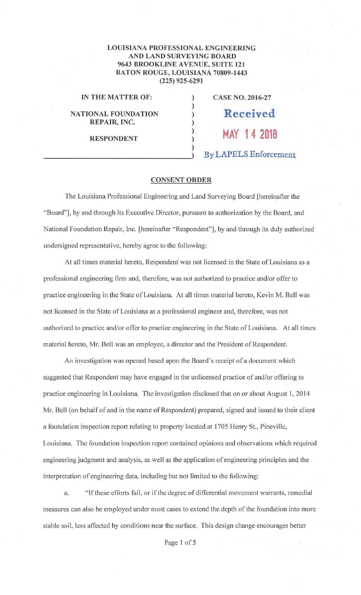## **LOUISIANA PROFESSIONAL ENGINEERING AND LAND SURVEYING BOARD 9643 BROOKLINE AVENUE, SUITE 121 BATON ROUGE, LOUISIANA 70809-1443 (225) 925-6291**

) ) ) ) ) ) )

**IN THE MATTER OF:** 

**NATIONAL FOUNDATION REPAIR, INC.** 

**RESPONDENT** 

**CASE NO. 2016-27 Received MAY 14 2018 By LAPELS Enforcement** 

## **CONSENT ORDER**

The Louisiana Professional Engineering and Land Surveying Board [hereinafter the "Board"], by and through its Executive Director, pursuant to authorization by the Board, and National Foundation Repair, Inc. [hereinafter "Respondent"], by and through its duly authorized undersigned representative, hereby agree to the following:

At all times material hereto, Respondent was not licensed in the State of Louisiana as a professional engineering firm and, therefore, was not authorized to practice and/or offer to practice engineering in the State of Louisiana. At all times material hereto, Kevin M. Bell was not licensed in the State of Louisiana as a professional engineer and, therefore, was not authorized to practice and/or offer to practice engineering in the State of Louisiana. At all times material hereto, Mr. Bell was an employee, a director and the President of Respondent.

An investigation was opened based upon the Board's receipt of a document which suggested that Respondent may have engaged in the unlicensed practice of and/or offering to practice engineering in Louisiana. The investigation disclosed that on or about August **1,** 2014 Mr. Bell (on behalf of and in the name of Respondent) prepared, signed and issued to their client a foundation inspection report relating to property located at 1705 Henry St., Pineville, Louisiana. The foundation inspection report contained opinions and observations which required engineering judgment and analysis, as well as the application of engineering principles and the interpretation of engineering data, including but not limited to the following:

a. "If these efforts fail, or if the degree of differential movement warrants, remedial measures can also be employed under most cases to extend the depth of the foundation into more stable soil, less affected by conditions near the surface. This design change encourages better

Page I of 5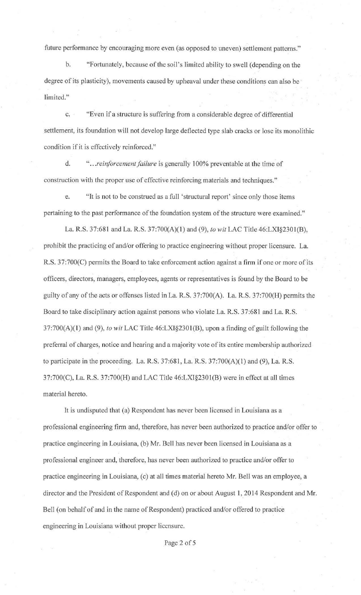future performance by encouraging more even (as opposed to uneven) settlement patterns."

b. "Fortunately, because of the soil's limited ability to swell (depending on the degree of its plasticity), movements caused by upheaval under these conditions can also be limited."

c. "Even if a structure is suffering from a considerable degree of differential settlement, its foundation will not develop large deflected type slab cracks or lose its monolithic condition if it is effectively reinforced."

d. " .. *. reinforcement failure* is generally 100% preventable at the time of construction with the proper use of effective reinforcing materials and techniques."

e. "It is not to be construed as a full 'structural report' since only those items pertaining to the past performance of the foundation system of the structure were examined."

La. R.S. 37:681 and La. R.S. 37:700(A)(l) and (9), *to wit* LAC Title 46:LX1§2301(B), prohibit the practicing of and/or offering to practice engineering without proper licensure. La. R.S. 37:700(C) permits the Board to take enforcement action against a firm if one or more of its officers, directors, managers, employees, agents or representatives is found by the Board to be guilty of any of the acts or offenses listed in La. R.S. 37:700(A). La. R.S. 37:700(H) permits the Board to take disciplinary action against persons who violate La. R.S. 37:681 and La. R.S. 37:700(A)(l) and (9), *to wit* LAC Title 46:LX1§2301(B), upon a finding of guilt following the preferral of charges, notice and hearing and a majority vote of its entire membership authorized to participate in the proceeding. La. R.S. 37:681, La. R.S. 37:700(A)(l) and (9), La. R.S. 37:700(C), La. R.S. 37:700(H) and LAC Title 46:LXI§230 l(B) were in effect at all times material hereto.

It is undisputed that (a) Respondent has never been licensed in Louisiana as a professional engineering firm and, therefore, has never been authorized to practice and/or offer to practice engineering in Louisiana, (b) Mr. Bell has never been licensed in Louisiana as a professional engineer and, therefore, has never been authorized to practice and/or offer to practice engineering in Louisiana, (c) at all times material hereto Mr. Bell was an employee, a director and the President of Respondent and (d) on or about August 1, 2014 Respondent and Mr. Bell (on behalf of and in the name of Respondent) practiced and/or offered to practice engineering in Louisiana without proper licensure.

Page 2 of 5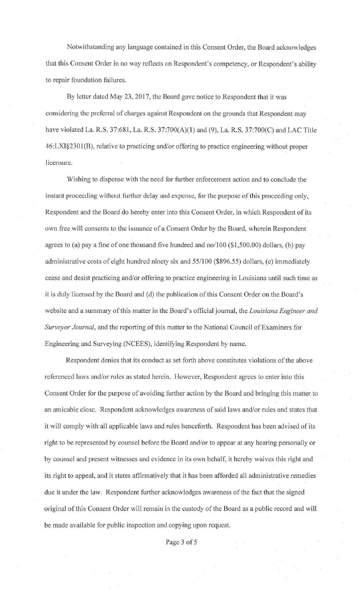Notwithstanding any language contained in this Consent Order, the Board acknowledges that this Consent Order in no way reflects on Respondent's competency, or Respondent's ability · to repair foundation failures.

By letter dated May 23, 2017, the Board gave notice to Respondent that it was considering the preferral of charges against Respondent on the grounds that Respondent may have violated La. R.S. 37:681, La. R.S. 37:700(A)(1) and (9), La. R.S. 37:700(C) and LAC Title 46:LXI§2301(B), relative to practicing and/or offering to practice engineering without proper licensure.

Wishing to dispense with the need for further enforcement action and to conclude the instant proceeding without further delay and expense, for the purpose of this proceeding only, Respondent and the Board do hereby enter into this Consent Order, in which Respondent of its own free will consents to the issuance of a Consent Order by the Board, wherein Respondent agrees *to* (a) pay a fine of one thousand five hundred and no/100 (\$1,500.00) dollars, (b) pay administrative costs of eight hundred ninety six and 55/100 (\$896.55) dollars, (c) immediately cease and desist practicing and/or offering to practice engineering in Louisiana until such time as it is duly licensed by the Board and (d) the publication of this Consent Order on the Board's website and a summary of this matter in the Board's official journal, the *Louisiana Engineer and Surveyor Journal,* and the reporting of this matter to the National Council of Examiners for Engineering and Surveying (NCEES), identifying Respondent by name.

Respondent denies that its conduct as set forth above constitutes violations of the above referenced laws and/or rules as stated herein. However, Respondent agrees to enter into this Consent Order for the purpose of avoiding further action by the Board and bringing this matter to an amicable close. Respondent acknowledges awareness of said laws and/or rules and states that it will comply with all applicable laws and rules henceforth. Respondent has been advised of its right to be represented by counsel before the Board and/or to appear at any hearing personally or by counsel and present witnesses and evidence in its own behalf, it hereby waives this right and its right to appeal, and it states affirmatively that it has been afforded all administrative remedies due it under the law. Respondent further acknowledges awareness of the fact that the signed original of this Consent Order will remain in the custody of the Board as a public record and will be made available for public inspection and copying upon request.

Page 3 of 5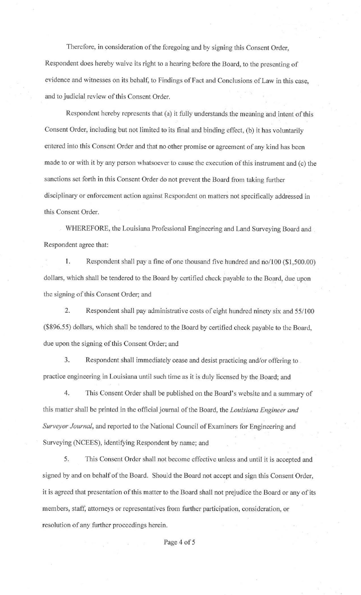Therefore, in consideration of the foregoing and by signing this Consent Order, Respondent does hereby waive its right to a hearing before the Board, to the presenting of evidence and witnesses on its behalf, to Findings of Fact and Conclusions of Law in this case, and to judicial review of this Consent Order.

Respondent hereby represents that (a) it fully understands the meaning and intent of this Consent Order, including but not limited to its final and binding effect, (b) it has voluntarily entered into this Consent Order and that no other promise or agreement of any kind has been made to or with it by any person whatsoever to cause the execution of this instrument and (c) the sanctions set forth in this Consent Order do not prevent the Board from taking further disciplinary or enforcement action against Respondent on matters not specifically addressed in this Consent Order.

WHEREFORE, the Louisiana Professional Engineering and Land Surveying Board and Respondent agree that:

1. Respondent shall pay a fine of one thousand five hundred and no/100 (\$1,500.00) dollars, which shall be tendered to the Board by certified check payable to the Board, due upon the signing of this Consent Order; and

2. Respondent shall pay administrative costs of eight hundred ninety six and 55/100 (\$896.55) dollars, which shall be tendered to the Board by certified check payable to the Board, due upon the signing of this Consent Order; and

3. Respondent shall immediately cease and desist practicing and/or offering to . practice engineering in Louisiana until such time as it is duly licensed by the Board; and

4. This Consent Order shall be published on the Board's website and a summary of this matter shall be printed in the official journal of the Board, the *Louisiana Engineer and Surveyor Journal,* and reported to the National Council of Examiners for Engineering and Surveying (NCEES), identifying Respondent by name; and

5. This Consent Order shall not become effective unless and until it is accepted and signed by and on behalf of the Board. Should the Board not accept and sign this Consent Order, it is agreed that presentation of this matter to the Board shall not prejudice the Board or any of its members, staff, attorneys or representatives from futther participation, consideration, or resolution of any further proceedings herein.

Page 4 of 5